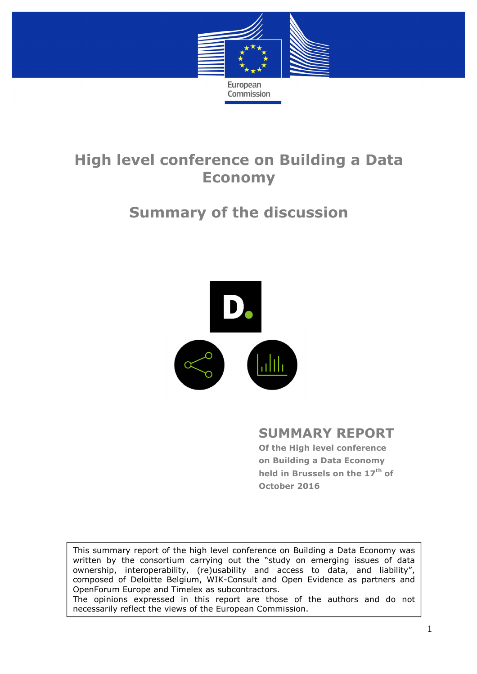

# **High level conference on Building a Data Economy**

# **Summary of the discussion**



## **SUMMARY REPORT**

**Of the High level conference on Building a Data Economy held in Brussels on the 17th of October 2016** 

This summary report of the high level conference on Building a Data Economy was written by the consortium carrying out the "study on emerging issues of data ownership, interoperability, (re)usability and access to data, and liability", composed of Deloitte Belgium, WIK-Consult and Open Evidence as partners and OpenForum Europe and Timelex as subcontractors. The opinions expressed in this report are those of the authors and do not necessarily reflect the views of the European Commission.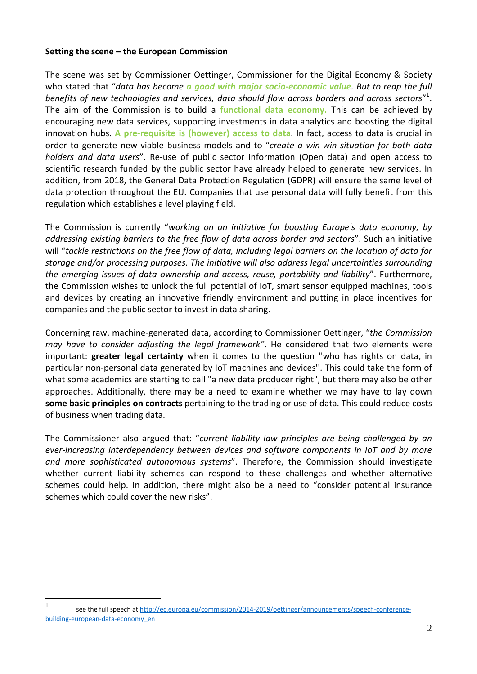#### **Setting the scene – the European Commission**

The scene was set by Commissioner Oettinger, Commissioner for the Digital Economy & Society who stated that "*data has become a good with major socio-economic value. But to reap the full benefits of new technologies and services, data should flow across borders and across sectors*" 1 . The aim of the Commission is to build a **functional data economy.** This can be achieved by encouraging new data services, supporting investments in data analytics and boosting the digital innovation hubs. **A pre-requisite is (however) access to data**. In fact, access to data is crucial in order to generate new viable business models and to "*create a win-win situation for both data holders and data users*". Re-use of public sector information (Open data) and open access to scientific research funded by the public sector have already helped to generate new services. In addition, from 2018, the General Data Protection Regulation (GDPR) will ensure the same level of data protection throughout the EU. Companies that use personal data will fully benefit from this regulation which establishes a level playing field.

The Commission is currently "*working on an initiative for boosting Europe's data economy, by addressing existing barriers to the free flow of data across border and sectors*". Such an initiative will "*tackle restrictions on the free flow of data, including legal barriers on the location of data for storage and/or processing purposes. The initiative will also address legal uncertainties surrounding the emerging issues of data ownership and access, reuse, portability and liability*". Furthermore, the Commission wishes to unlock the full potential of IoT, smart sensor equipped machines, tools and devices by creating an innovative friendly environment and putting in place incentives for companies and the public sector to invest in data sharing.

Concerning raw, machine-generated data, according to Commissioner Oettinger, "*the Commission may have to consider adjusting the legal framework"*. He considered that two elements were important: **greater legal certainty** when it comes to the question ''who has rights on data, in particular non-personal data generated by IoT machines and devices''. This could take the form of what some academics are starting to call "a new data producer right", but there may also be other approaches. Additionally, there may be a need to examine whether we may have to lay down **some basic principles on contracts** pertaining to the trading or use of data. This could reduce costs of business when trading data.

The Commissioner also argued that: "*current liability law principles are being challenged by an ever-increasing interdependency between devices and software components in IoT and by more and more sophisticated autonomous systems*". Therefore, the Commission should investigate whether current liability schemes can respond to these challenges and whether alternative schemes could help. In addition, there might also be a need to "consider potential insurance schemes which could cover the new risks".

 $\mathbf{1}$ see the full speech at http://ec.europa.eu/commission/2014-2019/oettinger/announcements/speech-conferencebuilding-european-data-economy\_en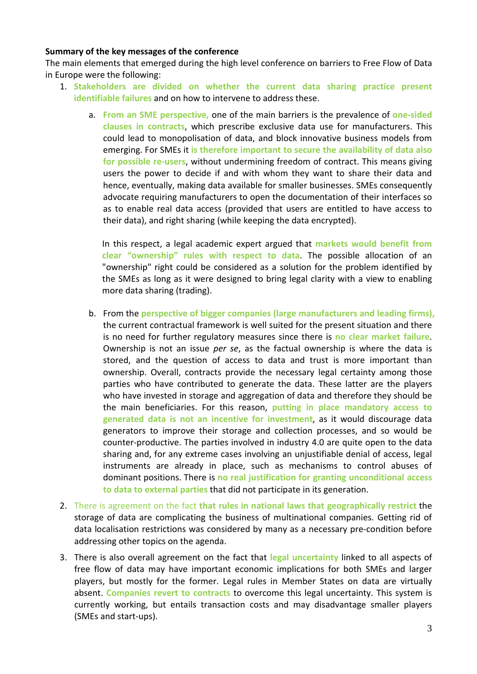### **Summary of the key messages of the conference**

The main elements that emerged during the high level conference on barriers to Free Flow of Data in Europe were the following:

- 1. **Stakeholders are divided on whether the current data sharing practice present identifiable failures** and on how to intervene to address these.
	- a. **From an SME perspective,** one of the main barriers is the prevalence of **one-sided clauses in contracts**, which prescribe exclusive data use for manufacturers. This could lead to monopolisation of data, and block innovative business models from emerging. For SMEs it **is therefore important to secure the availability of data also for possible re-users**, without undermining freedom of contract. This means giving users the power to decide if and with whom they want to share their data and hence, eventually, making data available for smaller businesses. SMEs consequently advocate requiring manufacturers to open the documentation of their interfaces so as to enable real data access (provided that users are entitled to have access to their data), and right sharing (while keeping the data encrypted).

In this respect, a legal academic expert argued that **markets would benefit from clear "ownership" rules with respect to data**. The possible allocation of an "ownership" right could be considered as a solution for the problem identified by the SMEs as long as it were designed to bring legal clarity with a view to enabling more data sharing (trading).

- b. From the **perspective of bigger companies (large manufacturers and leading firms),** the current contractual framework is well suited for the present situation and there is no need for further regulatory measures since there is **no clear market failure**. Ownership is not an issue *per se*, as the factual ownership is where the data is stored, and the question of access to data and trust is more important than ownership. Overall, contracts provide the necessary legal certainty among those parties who have contributed to generate the data. These latter are the players who have invested in storage and aggregation of data and therefore they should be the main beneficiaries. For this reason, **putting in place mandatory access to generated data is not an incentive for investment**, as it would discourage data generators to improve their storage and collection processes, and so would be counter-productive. The parties involved in industry 4.0 are quite open to the data sharing and, for any extreme cases involving an unjustifiable denial of access, legal instruments are already in place, such as mechanisms to control abuses of dominant positions. There is **no real justification for granting unconditional access to data to external parties** that did not participate in its generation.
- 2. There is agreement on the fact **that rules in national laws that geographically restrict** the storage of data are complicating the business of multinational companies. Getting rid of data localisation restrictions was considered by many as a necessary pre-condition before addressing other topics on the agenda.
- 3. There is also overall agreement on the fact that **legal uncertainty** linked to all aspects of free flow of data may have important economic implications for both SMEs and larger players, but mostly for the former. Legal rules in Member States on data are virtually absent. **Companies revert to contracts** to overcome this legal uncertainty. This system is currently working, but entails transaction costs and may disadvantage smaller players (SMEs and start-ups).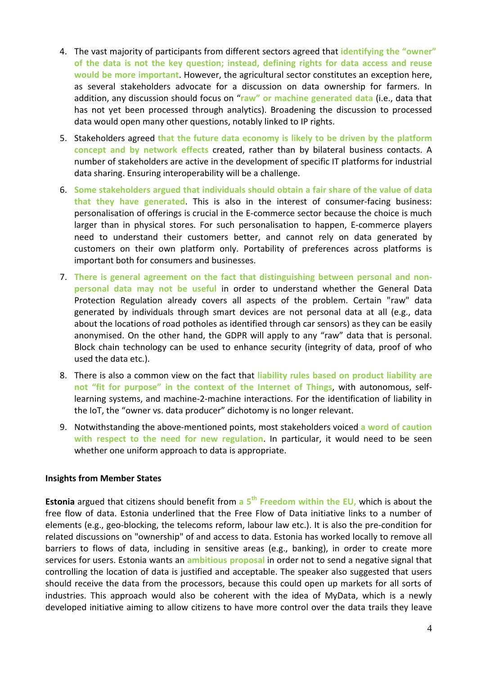- 4. The vast majority of participants from different sectors agreed that **identifying the "owner" of the data is not the key question; instead, defining rights for data access and reuse would be more important**. However, the agricultural sector constitutes an exception here, as several stakeholders advocate for a discussion on data ownership for farmers. In addition, any discussion should focus on "**raw" or machine generated data** (i.e., data that has not yet been processed through analytics). Broadening the discussion to processed data would open many other questions, notably linked to IP rights.
- 5. Stakeholders agreed **that the future data economy is likely to be driven by the platform concept and by network effects** created, rather than by bilateral business contacts. A number of stakeholders are active in the development of specific IT platforms for industrial data sharing. Ensuring interoperability will be a challenge.
- 6. **Some stakeholders argued that individuals should obtain a fair share of the value of data that they have generated**. This is also in the interest of consumer-facing business: personalisation of offerings is crucial in the E-commerce sector because the choice is much larger than in physical stores. For such personalisation to happen, E-commerce players need to understand their customers better, and cannot rely on data generated by customers on their own platform only. Portability of preferences across platforms is important both for consumers and businesses.
- 7. **There is general agreement on the fact that distinguishing between personal and nonpersonal data may not be useful** in order to understand whether the General Data Protection Regulation already covers all aspects of the problem. Certain "raw" data generated by individuals through smart devices are not personal data at all (e.g., data about the locations of road potholes as identified through car sensors) as they can be easily anonymised. On the other hand, the GDPR will apply to any "raw" data that is personal. Block chain technology can be used to enhance security (integrity of data, proof of who used the data etc.).
- 8. There is also a common view on the fact that **liability rules based on product liability are not "fit for purpose" in the context of the Internet of Things**, with autonomous, selflearning systems, and machine-2-machine interactions. For the identification of liability in the IoT, the "owner vs. data producer" dichotomy is no longer relevant.
- 9. Notwithstanding the above-mentioned points, most stakeholders voiced **a word of caution with respect to the need for new regulation**. In particular, it would need to be seen whether one uniform approach to data is appropriate.

### **Insights from Member States**

**Estonia** argued that citizens should benefit from **a 5th Freedom within the EU,** which is about the free flow of data. Estonia underlined that the Free Flow of Data initiative links to a number of elements (e.g., geo-blocking, the telecoms reform, labour law etc.). It is also the pre-condition for related discussions on "ownership" of and access to data. Estonia has worked locally to remove all barriers to flows of data, including in sensitive areas (e.g., banking), in order to create more services for users. Estonia wants an **ambitious proposal** in order not to send a negative signal that controlling the location of data is justified and acceptable. The speaker also suggested that users should receive the data from the processors, because this could open up markets for all sorts of industries. This approach would also be coherent with the idea of MyData, which is a newly developed initiative aiming to allow citizens to have more control over the data trails they leave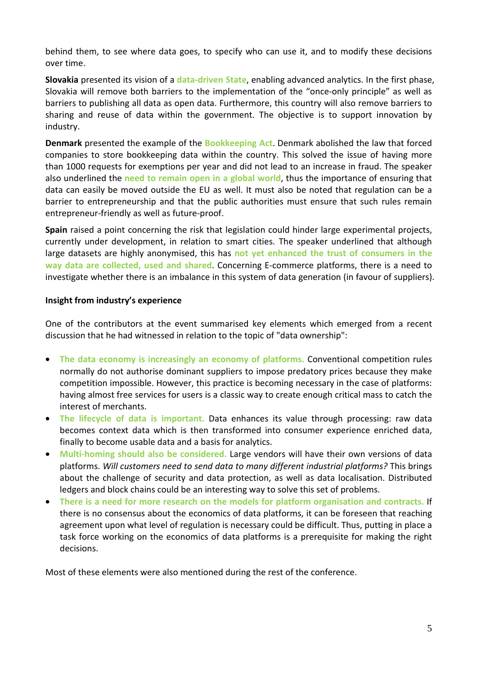behind them, to see where data goes, to specify who can use it, and to modify these decisions over time.

**Slovakia** presented its vision of a **data-driven State**, enabling advanced analytics. In the first phase, Slovakia will remove both barriers to the implementation of the "once-only principle" as well as barriers to publishing all data as open data. Furthermore, this country will also remove barriers to sharing and reuse of data within the government. The objective is to support innovation by industry.

**Denmark** presented the example of the **Bookkeeping Act**. Denmark abolished the law that forced companies to store bookkeeping data within the country. This solved the issue of having more than 1000 requests for exemptions per year and did not lead to an increase in fraud. The speaker also underlined the **need to remain open in a global world**, thus the importance of ensuring that data can easily be moved outside the EU as well. It must also be noted that regulation can be a barrier to entrepreneurship and that the public authorities must ensure that such rules remain entrepreneur-friendly as well as future-proof.

**Spain** raised a point concerning the risk that legislation could hinder large experimental projects, currently under development, in relation to smart cities. The speaker underlined that although large datasets are highly anonymised, this has **not yet enhanced the trust of consumers in the way data are collected, used and shared**. Concerning E-commerce platforms, there is a need to investigate whether there is an imbalance in this system of data generation (in favour of suppliers).

### **Insight from industry's experience**

One of the contributors at the event summarised key elements which emerged from a recent discussion that he had witnessed in relation to the topic of "data ownership":

- **The data economy is increasingly an economy of platforms.** Conventional competition rules normally do not authorise dominant suppliers to impose predatory prices because they make competition impossible. However, this practice is becoming necessary in the case of platforms: having almost free services for users is a classic way to create enough critical mass to catch the interest of merchants.
- **The lifecycle of data is important.** Data enhances its value through processing: raw data becomes context data which is then transformed into consumer experience enriched data, finally to become usable data and a basis for analytics.
- **Multi-homing should also be considered.** Large vendors will have their own versions of data platforms. *Will customers need to send data to many different industrial platforms?* This brings about the challenge of security and data protection, as well as data localisation. Distributed ledgers and block chains could be an interesting way to solve this set of problems.
- **There is a need for more research on the models for platform organisation and contracts.** If there is no consensus about the economics of data platforms, it can be foreseen that reaching agreement upon what level of regulation is necessary could be difficult. Thus, putting in place a task force working on the economics of data platforms is a prerequisite for making the right decisions.

Most of these elements were also mentioned during the rest of the conference.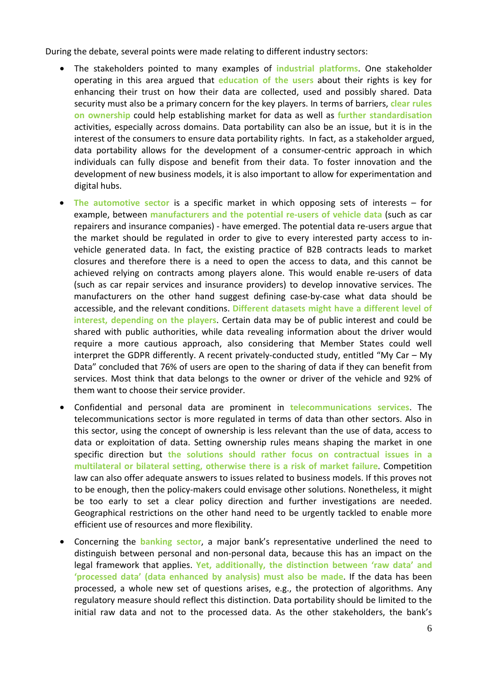During the debate, several points were made relating to different industry sectors:

- The stakeholders pointed to many examples of **industrial platforms**. One stakeholder operating in this area argued that **education of the users** about their rights is key for enhancing their trust on how their data are collected, used and possibly shared. Data security must also be a primary concern for the key players. In terms of barriers, **clear rules on ownership** could help establishing market for data as well as **further standardisation** activities, especially across domains. Data portability can also be an issue, but it is in the interest of the consumers to ensure data portability rights. In fact, as a stakeholder argued, data portability allows for the development of a consumer-centric approach in which individuals can fully dispose and benefit from their data. To foster innovation and the development of new business models, it is also important to allow for experimentation and digital hubs.
- **The automotive sector** is a specific market in which opposing sets of interests for example, between **manufacturers and the potential re-users of vehicle data** (such as car repairers and insurance companies) - have emerged. The potential data re-users argue that the market should be regulated in order to give to every interested party access to invehicle generated data. In fact, the existing practice of B2B contracts leads to market closures and therefore there is a need to open the access to data, and this cannot be achieved relying on contracts among players alone. This would enable re-users of data (such as car repair services and insurance providers) to develop innovative services. The manufacturers on the other hand suggest defining case-by-case what data should be accessible, and the relevant conditions. **Different datasets might have a different level of interest, depending on the players**. Certain data may be of public interest and could be shared with public authorities, while data revealing information about the driver would require a more cautious approach, also considering that Member States could well interpret the GDPR differently. A recent privately-conducted study, entitled "My Car – My Data" concluded that 76% of users are open to the sharing of data if they can benefit from services. Most think that data belongs to the owner or driver of the vehicle and 92% of them want to choose their service provider.
- Confidential and personal data are prominent in **telecommunications services**. The telecommunications sector is more regulated in terms of data than other sectors. Also in this sector, using the concept of ownership is less relevant than the use of data, access to data or exploitation of data. Setting ownership rules means shaping the market in one specific direction but **the solutions should rather focus on contractual issues in a multilateral or bilateral setting, otherwise there is a risk of market failure**. Competition law can also offer adequate answers to issues related to business models. If this proves not to be enough, then the policy-makers could envisage other solutions. Nonetheless, it might be too early to set a clear policy direction and further investigations are needed. Geographical restrictions on the other hand need to be urgently tackled to enable more efficient use of resources and more flexibility.
- Concerning the **banking sector**, a major bank's representative underlined the need to distinguish between personal and non-personal data, because this has an impact on the legal framework that applies. **Yet, additionally, the distinction between 'raw data' and 'processed data' (data enhanced by analysis) must also be made**. If the data has been processed, a whole new set of questions arises, e.g., the protection of algorithms. Any regulatory measure should reflect this distinction. Data portability should be limited to the initial raw data and not to the processed data. As the other stakeholders, the bank's